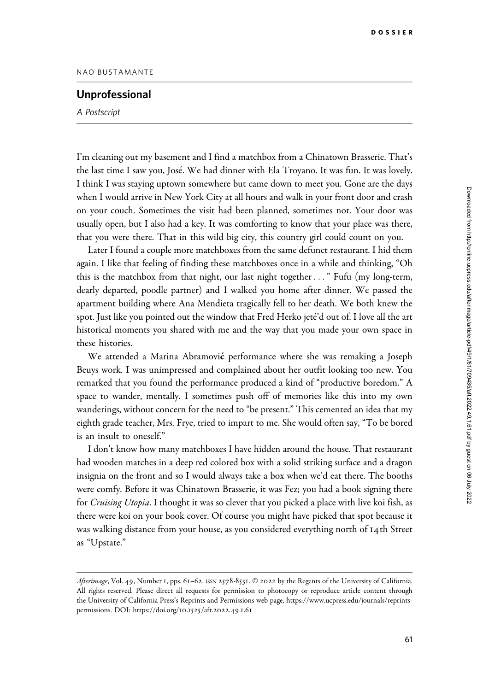## Unprofessional

A Postscript

I'm cleaning out my basement and I find a matchbox from a Chinatown Brasserie. That's the last time I saw you, José. We had dinner with Ela Troyano. It was fun. It was lovely. I think I was staying uptown somewhere but came down to meet you. Gone are the days when I would arrive in New York City at all hours and walk in your front door and crash on your couch. Sometimes the visit had been planned, sometimes not. Your door was usually open, but I also had a key. It was comforting to know that your place was there, that you were there. That in this wild big city, this country girl could count on you.

Later I found a couple more matchboxes from the same defunct restaurant. I hid them again. I like that feeling of finding these matchboxes once in a while and thinking, "Oh this is the matchbox from that night, our last night together..." Fufu (my long-term, dearly departed, poodle partner) and I walked you home after dinner. We passed the apartment building where Ana Mendieta tragically fell to her death. We both knew the spot. Just like you pointed out the window that Fred Herko jete´'d out of. I love all the art historical moments you shared with me and the way that you made your own space in these histories.

We attended a Marina Abramović performance where she was remaking a Joseph Beuys work. I was unimpressed and complained about her outfit looking too new. You remarked that you found the performance produced a kind of "productive boredom." A space to wander, mentally. I sometimes push off of memories like this into my own wanderings, without concern for the need to "be present." This cemented an idea that my eighth grade teacher, Mrs. Frye, tried to impart to me. She would often say, "To be bored is an insult to oneself."

I don't know how many matchboxes I have hidden around the house. That restaurant had wooden matches in a deep red colored box with a solid striking surface and a dragon insignia on the front and so I would always take a box when we'd eat there. The booths were comfy. Before it was Chinatown Brasserie, it was Fez; you had a book signing there for Cruising Utopia. I thought it was so clever that you picked a place with live koi fish, as there were koi on your book cover. Of course you might have picked that spot because it was walking distance from your house, as you considered everything north of 14th Street as "Upstate."

Afterimage, Vol. 49, Number 1, pps. 61-62. ISSN 2578-8531. © 2022 by the Regents of the University of California. All rights reserved. Please direct all requests for permission to photocopy or reproduce article content through the University of California Press's Reprints and Permissions web page, [https://www.ucpress.edu/journals/reprints](https://www.ucpress.edu/journals/reprints-permissions)[permissions.](https://www.ucpress.edu/journals/reprints-permissions) [DOI: https://doi.org/](https://doi.org/10.1525/aft.2022.49.1.61)10.1525/aft.2022.49.1.61